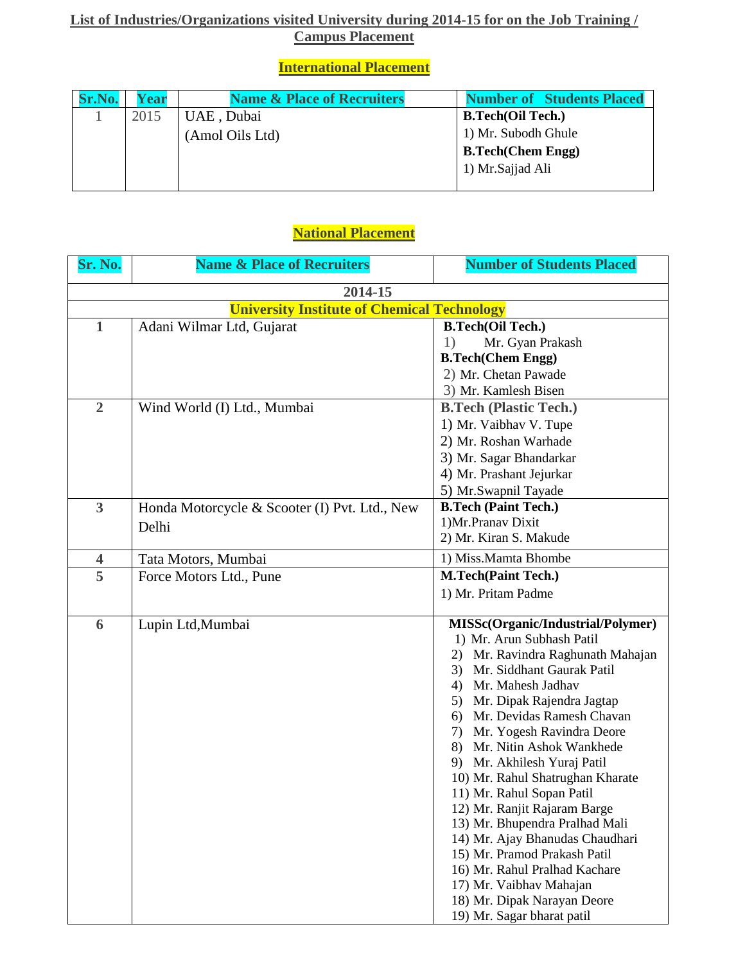## **List of Industries/Organizations visited University during 2014-15 for on the Job Training / Campus Placement**

## **International Placement**

| Sr.No. | Year | <b>Name &amp; Place of Recruiters</b> | <b>Number of Students Placed</b> |
|--------|------|---------------------------------------|----------------------------------|
|        | 2015 | UAE, Dubai                            | <b>B.Tech(Oil Tech.)</b>         |
|        |      | (Amol Oils Ltd)                       | 1) Mr. Subodh Ghule              |
|        |      |                                       | <b>B.Tech(Chem Engg)</b>         |
|        |      |                                       | 1) Mr. Sajjad Ali                |
|        |      |                                       |                                  |

## **National Placement**

| Sr. No.                                            | <b>Name &amp; Place of Recruiters</b>         | <b>Number of Students Placed</b>                                 |  |  |  |
|----------------------------------------------------|-----------------------------------------------|------------------------------------------------------------------|--|--|--|
| 2014-15                                            |                                               |                                                                  |  |  |  |
| <b>University Institute of Chemical Technology</b> |                                               |                                                                  |  |  |  |
| $\mathbf{1}$                                       | Adani Wilmar Ltd, Gujarat                     | <b>B.Tech(Oil Tech.)</b>                                         |  |  |  |
|                                                    |                                               | 1)<br>Mr. Gyan Prakash                                           |  |  |  |
|                                                    |                                               | <b>B.Tech(Chem Engg)</b>                                         |  |  |  |
|                                                    |                                               | 2) Mr. Chetan Pawade                                             |  |  |  |
|                                                    |                                               | 3) Mr. Kamlesh Bisen                                             |  |  |  |
| $\overline{2}$                                     | Wind World (I) Ltd., Mumbai                   | <b>B.Tech (Plastic Tech.)</b>                                    |  |  |  |
|                                                    |                                               | 1) Mr. Vaibhav V. Tupe                                           |  |  |  |
|                                                    |                                               | 2) Mr. Roshan Warhade                                            |  |  |  |
|                                                    |                                               | 3) Mr. Sagar Bhandarkar                                          |  |  |  |
|                                                    |                                               | 4) Mr. Prashant Jejurkar                                         |  |  |  |
|                                                    |                                               | 5) Mr. Swapnil Tayade                                            |  |  |  |
| $\overline{3}$                                     | Honda Motorcycle & Scooter (I) Pvt. Ltd., New | <b>B.Tech (Paint Tech.)</b>                                      |  |  |  |
|                                                    | Delhi                                         | 1)Mr.Pranav Dixit                                                |  |  |  |
|                                                    |                                               | 2) Mr. Kiran S. Makude                                           |  |  |  |
| $\overline{\mathbf{4}}$                            | Tata Motors, Mumbai                           | 1) Miss.Mamta Bhombe                                             |  |  |  |
| 5                                                  | Force Motors Ltd., Pune                       | <b>M.Tech(Paint Tech.)</b>                                       |  |  |  |
|                                                    |                                               | 1) Mr. Pritam Padme                                              |  |  |  |
|                                                    |                                               |                                                                  |  |  |  |
| 6                                                  | Lupin Ltd, Mumbai                             | MISSc(Organic/Industrial/Polymer)                                |  |  |  |
|                                                    |                                               | 1) Mr. Arun Subhash Patil                                        |  |  |  |
|                                                    |                                               | Mr. Ravindra Raghunath Mahajan<br>2)                             |  |  |  |
|                                                    |                                               | Mr. Siddhant Gaurak Patil<br>3)                                  |  |  |  |
|                                                    |                                               | Mr. Mahesh Jadhav<br>4)                                          |  |  |  |
|                                                    |                                               | Mr. Dipak Rajendra Jagtap<br>5)                                  |  |  |  |
|                                                    |                                               | Mr. Devidas Ramesh Chavan<br>6)                                  |  |  |  |
|                                                    |                                               | Mr. Yogesh Ravindra Deore<br>7)                                  |  |  |  |
|                                                    |                                               | Mr. Nitin Ashok Wankhede<br>8)<br>Mr. Akhilesh Yuraj Patil<br>9) |  |  |  |
|                                                    |                                               | 10) Mr. Rahul Shatrughan Kharate                                 |  |  |  |
|                                                    |                                               | 11) Mr. Rahul Sopan Patil                                        |  |  |  |
|                                                    |                                               | 12) Mr. Ranjit Rajaram Barge                                     |  |  |  |
|                                                    |                                               | 13) Mr. Bhupendra Pralhad Mali                                   |  |  |  |
|                                                    |                                               | 14) Mr. Ajay Bhanudas Chaudhari                                  |  |  |  |
|                                                    |                                               | 15) Mr. Pramod Prakash Patil                                     |  |  |  |
|                                                    |                                               | 16) Mr. Rahul Pralhad Kachare                                    |  |  |  |
|                                                    |                                               | 17) Mr. Vaibhav Mahajan                                          |  |  |  |
|                                                    |                                               | 18) Mr. Dipak Narayan Deore                                      |  |  |  |
|                                                    |                                               | 19) Mr. Sagar bharat patil                                       |  |  |  |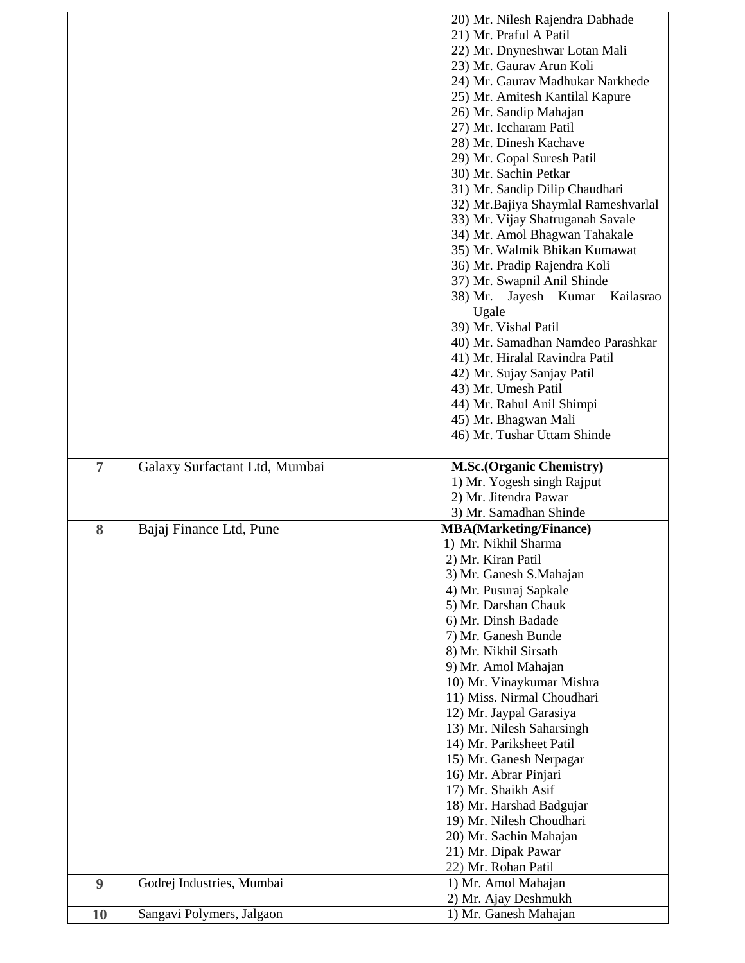|                |                               | 20) Mr. Nilesh Rajendra Dabhade      |
|----------------|-------------------------------|--------------------------------------|
|                |                               | 21) Mr. Praful A Patil               |
|                |                               | 22) Mr. Dnyneshwar Lotan Mali        |
|                |                               | 23) Mr. Gaurav Arun Koli             |
|                |                               | 24) Mr. Gaurav Madhukar Narkhede     |
|                |                               | 25) Mr. Amitesh Kantilal Kapure      |
|                |                               | 26) Mr. Sandip Mahajan               |
|                |                               | 27) Mr. Iccharam Patil               |
|                |                               | 28) Mr. Dinesh Kachave               |
|                |                               | 29) Mr. Gopal Suresh Patil           |
|                |                               |                                      |
|                |                               | 30) Mr. Sachin Petkar                |
|                |                               | 31) Mr. Sandip Dilip Chaudhari       |
|                |                               | 32) Mr. Bajiya Shaymlal Rameshvarlal |
|                |                               | 33) Mr. Vijay Shatruganah Savale     |
|                |                               | 34) Mr. Amol Bhagwan Tahakale        |
|                |                               | 35) Mr. Walmik Bhikan Kumawat        |
|                |                               | 36) Mr. Pradip Rajendra Koli         |
|                |                               | 37) Mr. Swapnil Anil Shinde          |
|                |                               | 38) Mr. Jayesh Kumar<br>Kailasrao    |
|                |                               | Ugale                                |
|                |                               | 39) Mr. Vishal Patil                 |
|                |                               | 40) Mr. Samadhan Namdeo Parashkar    |
|                |                               | 41) Mr. Hiralal Ravindra Patil       |
|                |                               | 42) Mr. Sujay Sanjay Patil           |
|                |                               | 43) Mr. Umesh Patil                  |
|                |                               | 44) Mr. Rahul Anil Shimpi            |
|                |                               |                                      |
|                |                               | 45) Mr. Bhagwan Mali                 |
|                |                               | 46) Mr. Tushar Uttam Shinde          |
| $\overline{7}$ |                               |                                      |
|                | Galaxy Surfactant Ltd, Mumbai | <b>M.Sc.(Organic Chemistry)</b>      |
|                |                               | 1) Mr. Yogesh singh Rajput           |
|                |                               | 2) Mr. Jitendra Pawar                |
|                |                               | 3) Mr. Samadhan Shinde               |
| 8              | Bajaj Finance Ltd, Pune       | <b>MBA</b> (Marketing/Finance)       |
|                |                               | 1) Mr. Nikhil Sharma                 |
|                |                               | 2) Mr. Kiran Patil                   |
|                |                               | 3) Mr. Ganesh S.Mahajan              |
|                |                               | 4) Mr. Pusuraj Sapkale               |
|                |                               | 5) Mr. Darshan Chauk                 |
|                |                               | 6) Mr. Dinsh Badade                  |
|                |                               | 7) Mr. Ganesh Bunde                  |
|                |                               | 8) Mr. Nikhil Sirsath                |
|                |                               | 9) Mr. Amol Mahajan                  |
|                |                               | 10) Mr. Vinaykumar Mishra            |
|                |                               | 11) Miss. Nirmal Choudhari           |
|                |                               | 12) Mr. Jaypal Garasiya              |
|                |                               | 13) Mr. Nilesh Saharsingh            |
|                |                               | 14) Mr. Pariksheet Patil             |
|                |                               | 15) Mr. Ganesh Nerpagar              |
|                |                               | 16) Mr. Abrar Pinjari                |
|                |                               |                                      |
|                |                               | 17) Mr. Shaikh Asif                  |
|                |                               | 18) Mr. Harshad Badgujar             |
|                |                               | 19) Mr. Nilesh Choudhari             |
|                |                               | 20) Mr. Sachin Mahajan               |
|                |                               | 21) Mr. Dipak Pawar                  |
|                |                               | 22) Mr. Rohan Patil                  |
| 9              | Godrej Industries, Mumbai     | 1) Mr. Amol Mahajan                  |
|                |                               | 2) Mr. Ajay Deshmukh                 |
| <b>10</b>      | Sangavi Polymers, Jalgaon     | 1) Mr. Ganesh Mahajan                |